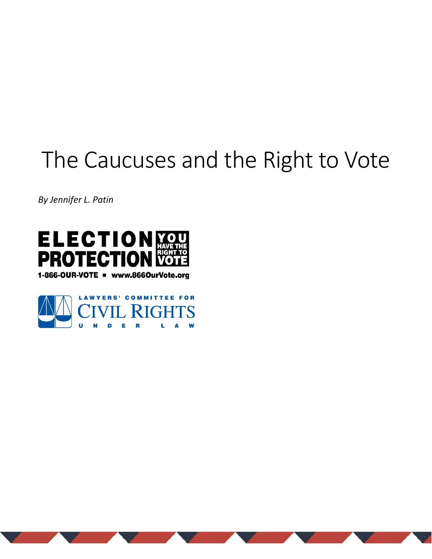*By Jennifer L. Patin*



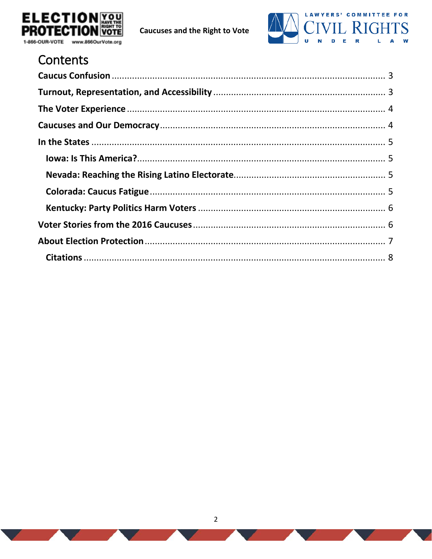



# Contents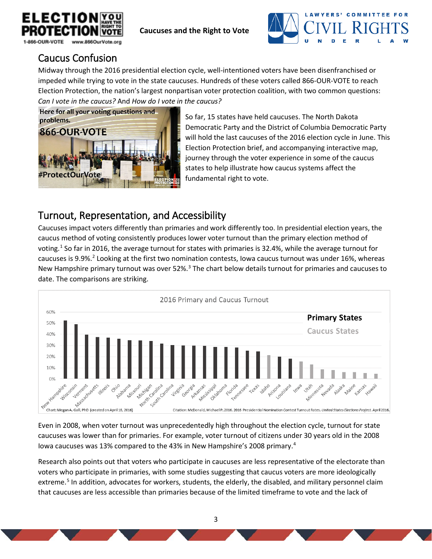



## <span id="page-2-0"></span>Caucus Confusion

Midway through the 2016 presidential election cycle, well-intentioned voters have been disenfranchised or impeded while trying to vote in the state caucuses. Hundreds of these voters called 866-OUR-VOTE to reach Election Protection, the nation's largest nonpartisan voter protection coalition, with two common questions: *Can I vote in the caucus?* And *How do I vote in the caucus?*



So far, 15 states have held caucuses. The North Dakota Democratic Party and the District of Columbia Democratic Party will hold the last caucuses of the 2016 election cycle in June. This Election Protection brief, and accompanying interactive map, journey through the voter experience in some of the caucus states to help illustrate how caucus systems affect the fundamental right to vote.

# <span id="page-2-1"></span>Turnout, Representation, and Accessibility

Caucuses impact voters differently than primaries and work differently too. In presidential election years, the caucus method of voting consistently produces lower voter turnout than the primary election method of voting.<sup>[1](#page-7-1)</sup> So far in 2016, the average turnout for states with primaries is 32.4%, while the average turnout for caucuses is 9.9%.<sup>[2](#page-7-2)</sup> Looking at the first two nomination contests, Iowa caucus turnout was under 16%, whereas New Hampshire primary turnout was over 52%.<sup>[3](#page-7-3)</sup> The chart below details turnout for primaries and caucuses to date. The comparisons are striking.



Even in 2008, when voter turnout was unprecedentedly high throughout the election cycle, turnout for state caucuses was lower than for primaries. For example, voter turnout of citizens under 30 years old in the 2008 Iowa caucuses was 13% compared to the 43% in New Hampshire's 2008 primary.[4](#page-7-4)

Research also points out that voters who participate in caucuses are less representative of the electorate than voters who participate in primaries, with some studies suggesting that caucus voters are more ideologically extreme.<sup>[5](#page-7-5)</sup> In addition, advocates for workers, students, the elderly, the disabled, and military personnel claim that caucuses are less accessible than primaries because of the limited timeframe to vote and the lack of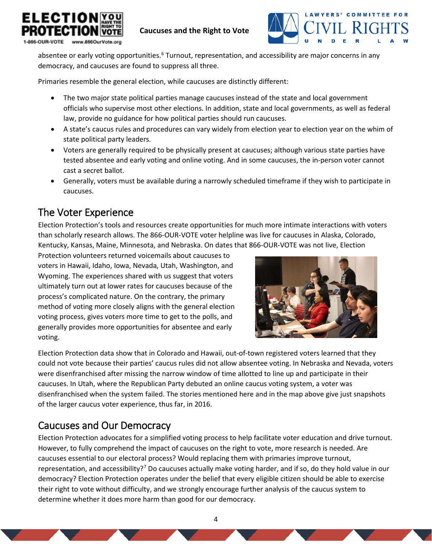



absentee or early voting opportunities.<sup>[6](#page-7-6)</sup> Turnout, representation, and accessibility are major concerns in any democracy, and caucuses are found to suppress all three.

Primaries resemble the general election, while caucuses are distinctly different:

- The two major state political parties manage caucuses instead of the state and local government officials who supervise most other elections. In addition, state and local governments, as well as federal law, provide no guidance for how political parties should run caucuses.
- A state's caucus rules and procedures can vary widely from election year to election year on the whim of state political party leaders.
- Voters are generally required to be physically present at caucuses; although various state parties have tested absentee and early voting and online voting. And in some caucuses, the in-person voter cannot cast a secret ballot.
- Generally, voters must be available during a narrowly scheduled timeframe if they wish to participate in caucuses.

## <span id="page-3-0"></span>The Voter Experience

Election Protection's tools and resources create opportunities for much more intimate interactions with voters than scholarly research allows. The 866-OUR-VOTE voter helpline was live for caucuses in Alaska, Colorado, Kentucky, Kansas, Maine, Minnesota, and Nebraska. On dates that 866-OUR-VOTE was not live, Election

Protection volunteers returned voicemails about caucuses to voters in Hawaii, Idaho, Iowa, Nevada, Utah, Washington, and Wyoming. The experiences shared with us suggest that voters ultimately turn out at lower rates for caucuses because of the process's complicated nature. On the contrary, the primary method of voting more closely aligns with the general election voting process, gives voters more time to get to the polls, and generally provides more opportunities for absentee and early voting.



Election Protection data show that in Colorado and Hawaii, out-of-town registered voters learned that they could not vote because their parties' caucus rules did not allow absentee voting. In Nebraska and Nevada, voters were disenfranchised after missing the narrow window of time allotted to line up and participate in their caucuses. In Utah, where the Republican Party debuted an online caucus voting system, a voter was disenfranchised when the system failed. The stories mentioned here and in the map above give just snapshots of the larger caucus voter experience, thus far, in 2016.

# <span id="page-3-1"></span>Caucuses and Our Democracy

Election Protection advocates for a simplified voting process to help facilitate voter education and drive turnout. However, to fully comprehend the impact of caucuses on the right to vote, more research is needed. Are caucuses essential to our electoral process? Would replacing them with primaries improve turnout, representation, and accessibility?<sup>[7](#page-7-7)</sup> Do caucuses actually make voting harder, and if so, do they hold value in our democracy? Election Protection operates under the belief that every eligible citizen should be able to exercise their right to vote without difficulty, and we strongly encourage further analysis of the caucus system to determine whether it does more harm than good for our democracy.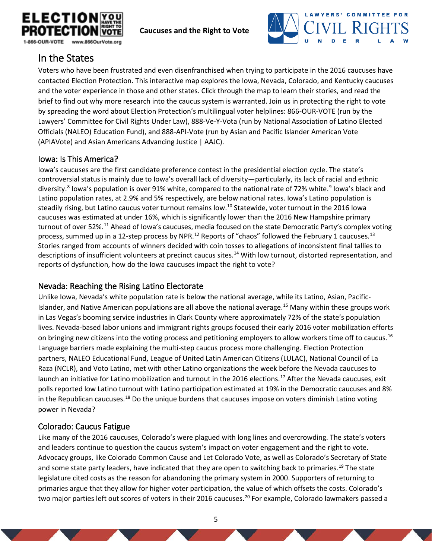



## <span id="page-4-0"></span>In the States

Voters who have been frustrated and even disenfranchised when trying to participate in the 2016 caucuses have contacted Election Protection. This interactive map explores the Iowa, Nevada, Colorado, and Kentucky caucuses and the voter experience in those and other states. Click through the map to learn their stories, and read the brief to find out why more research into the caucus system is warranted. Join us in protecting the right to vote by spreading the word about Election Protection's multilingual voter helplines: 866-OUR-VOTE (run by the Lawyers' Committee for Civil Rights Under Law), 888-Ve-Y-Vota (run by National Association of Latino Elected Officials (NALEO) Education Fund), and 888-API-Vote (run by Asian and Pacific Islander American Vote (APIAVote) and Asian Americans Advancing Justice | AAJC).

## <span id="page-4-1"></span>Iowa: Is This America?

Iowa's caucuses are the first candidate preference contest in the presidential election cycle. The state's controversial status is mainly due to Iowa's overall lack of diversity—particularly, its lack of racial and ethnic diversity.<sup>[8](#page-7-8)</sup> Iowa's population is over [9](#page-7-9)1% white, compared to the national rate of 72% white.<sup>9</sup> Iowa's black and Latino population rates, at 2.9% and 5% respectively, are below national rates. Iowa's Latino population is steadily rising, but Latino caucus voter turnout remains low.<sup>[10](#page-7-10)</sup> Statewide, voter turnout in the 2016 Iowa caucuses was estimated at under 16%, which is significantly lower than the 2016 New Hampshire primary turnout of over 52%.[11](#page-7-11) Ahead of Iowa's caucuses, media focused on the state Democratic Party's complex voting process, summed up in a [12](#page-7-12)-step process by NPR.<sup>12</sup> Reports of "chaos" followed the February 1 caucuses.<sup>[13](#page-7-13)</sup> Stories ranged from accounts of winners decided with coin tosses to allegations of inconsistent final tallies to descriptions of insufficient volunteers at precinct caucus sites.[14](#page-7-14) With low turnout, distorted representation, and reports of dysfunction, how do the Iowa caucuses impact the right to vote?

## <span id="page-4-2"></span>Nevada: Reaching the Rising Latino Electorate

Unlike Iowa, Nevada's white population rate is below the national average, while its Latino, Asian, Pacific-Islander, and Native American populations are all above the national average.[15](#page-7-15) Many within these groups work in Las Vegas's booming service industries in Clark County where approximately 72% of the state's population lives. Nevada-based labor unions and immigrant rights groups focused their early 2016 voter mobilization efforts on bringing new citizens into the voting process and petitioning employers to allow workers time off to caucus.<sup>[16](#page-7-16)</sup> Language barriers made explaining the multi-step caucus process more challenging. Election Protection partners, NALEO Educational Fund, League of United Latin American Citizens (LULAC), National Council of La Raza (NCLR), and Voto Latino, met with other Latino organizations the week before the Nevada caucuses to launch an initiative for Latino mobilization and turnout in the 2016 elections.<sup>[17](#page-7-17)</sup> After the Nevada caucuses, exit polls reported low Latino turnout with Latino participation estimated at 19% in the Democratic caucuses and 8% in the Republican caucuses.<sup>[18](#page-7-18)</sup> Do the unique burdens that caucuses impose on voters diminish Latino voting power in Nevada?

## <span id="page-4-3"></span>Colorado: Caucus Fatigue

Like many of the 2016 caucuses, Colorado's were plagued with long lines and overcrowding. The state's voters and leaders continue to question the caucus system's impact on voter engagement and the right to vote. Advocacy groups, like Colorado Common Cause and Let Colorado Vote, as well as Colorado's Secretary of State and some state party leaders, have indicated that they are open to switching back to primaries.<sup>[19](#page-7-19)</sup> The state legislature cited costs as the reason for abandoning the primary system in 2000. Supporters of returning to primaries argue that they allow for higher voter participation, the value of which offsets the costs. Colorado's two major parties left out scores of voters in their [20](#page-7-20)16 caucuses.<sup>20</sup> For example, Colorado lawmakers passed a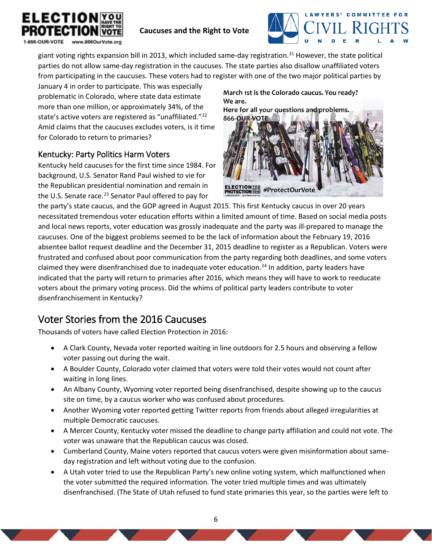



giant voting rights expansion bill in 2013, which included same-day registration.<sup>[21](#page-8-0)</sup> However, the state political parties do not allow same-day registration in the caucuses. The state parties also disallow unaffiliated voters from participating in the caucuses. These voters had to register with one of the two major political parties by

January 4 in order to participate. This was especially problematic in Colorado, where state data estimate more than one million, or approximately 34%, of the state's active voters are registered as "unaffiliated."[22](#page-8-1) Amid claims that the caucuses excludes voters, is it time for Colorado to return to primaries?

## <span id="page-5-0"></span>Kentucky: Party Politics Harm Voters

Kentucky held caucuses for the first time since 1984. For background, U.S. Senator Rand Paul wished to vie for the Republican presidential nomination and remain in the U.S. Senate race.<sup>[23](#page-8-2)</sup> Senator Paul offered to pay for

March 1st is the Colorado caucus. You ready? We are.

Here for all your questions and problems. 866-OUR-VOTE



the party's state caucus, and the GOP agreed in August 2015. This first Kentucky caucus in over 20 years necessitated tremendous voter education efforts within a limited amount of time. Based on social media posts and local news reports, voter education was grossly inadequate and the party was ill-prepared to manage the caucuses. One of the biggest problems seemed to be the lack of information about the February 19, 2016 absentee ballot request deadline and the December 31, 2015 deadline to register as a Republican. Voters were frustrated and confused about poor communication from the party regarding both deadlines, and some voters claimed they were disenfranchised due to inadequate voter education.<sup>[24](#page-8-3)</sup> In addition, party leaders have indicated that the party will return to primaries after 2016, which means they will have to work to reeducate voters about the primary voting process. Did the whims of political party leaders contribute to voter disenfranchisement in Kentucky?

# <span id="page-5-1"></span>Voter Stories from the 2016 Caucuses

Thousands of voters have called Election Protection in 2016:

- A Clark County, Nevada voter reported waiting in line outdoors for 2.5 hours and observing a fellow voter passing out during the wait.
- A Boulder County, Colorado voter claimed that voters were told their votes would not count after waiting in long lines.
- An Albany County, Wyoming voter reported being disenfranchised, despite showing up to the caucus site on time, by a caucus worker who was confused about procedures.
- Another Wyoming voter reported getting Twitter reports from friends about alleged irregularities at multiple Democratic caucuses.
- A Mercer County, Kentucky voter missed the deadline to change party affiliation and could not vote. The voter was unaware that the Republican caucus was closed.
- Cumberland County, Maine voters reported that caucus voters were given misinformation about sameday registration and left without voting due to the confusion.
- A Utah voter tried to use the Republican Party's new online voting system, which malfunctioned when the voter submitted the required information. The voter tried multiple times and was ultimately disenfranchised. (The State of Utah refused to fund state primaries this year, so the parties were left to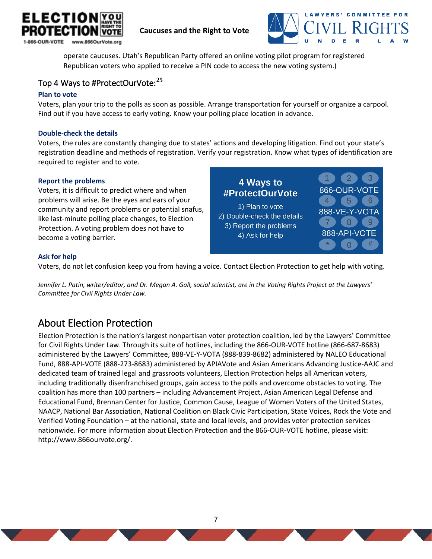



operate caucuses. Utah's Republican Party offered an online voting pilot program for registered Republican voters who applied to receive a PIN code to access the new voting system.)

## Top 4 Ways to #ProtectOurVote:**[25](#page-8-4)**

#### **Plan to vote**

Voters, plan your trip to the polls as soon as possible. Arrange transportation for yourself or organize a carpool. Find out if you have access to early voting. Know your polling place location in advance.

#### **Double-check the details**

Voters, the rules are constantly changing due to states' actions and developing litigation. Find out your state's registration deadline and methods of registration. Verify your registration. Know what types of identification are required to register and to vote.

#### **Report the problems**

Voters, it is difficult to predict where and when problems will arise. Be the eyes and ears of your community and report problems or potential snafus, like last-minute polling place changes, to Election Protection. A voting problem does not have to become a voting barrier.

4 Ways to 866-OUR-VOTE #ProtectOurVote  $4)$  $\sqrt{5}$ 1) Plan to vote 888-VE-Y-VOTA 2) Double-check the details 8 3) Report the problems 888-API-VOTE 4) Ask for help  $\Omega$ 

#### **Ask for help**

Voters, do not let confusion keep you from having a voice. Contact Election Protection to get help with voting.

*Jennifer L. Patin, writer/editor, and Dr. Megan A. Gall, social scientist, are in the Voting Rights Project at the Lawyers' Committee for Civil Rights Under Law.* 

## <span id="page-6-0"></span>About Election Protection

Election Protection is the nation's largest nonpartisan voter protection coalition, led by the Lawyers' Committee for Civil Rights Under Law. Through its suite of hotlines, including the 866-OUR-VOTE hotline (866-687-8683) administered by the Lawyers' Committee, 888-VE-Y-VOTA (888-839-8682) administered by NALEO Educational Fund, 888-API-VOTE (888-273-8683) administered by APIAVote and Asian Americans Advancing Justice-AAJC and dedicated team of trained legal and grassroots volunteers, Election Protection helps all American voters, including traditionally disenfranchised groups, gain access to the polls and overcome obstacles to voting. The coalition has more than 100 partners – including Advancement Project, Asian American Legal Defense and Educational Fund, Brennan Center for Justice, Common Cause, League of Women Voters of the United States, NAACP, National Bar Association, National Coalition on Black Civic Participation, State Voices, Rock the Vote and Verified Voting Foundation – at the national, state and local levels, and provides voter protection services nationwide. For more information about Election Protection and the 866-OUR-VOTE hotline, please visit: [http://www.866ourvote.org/.](http://www.866ourvote.org/)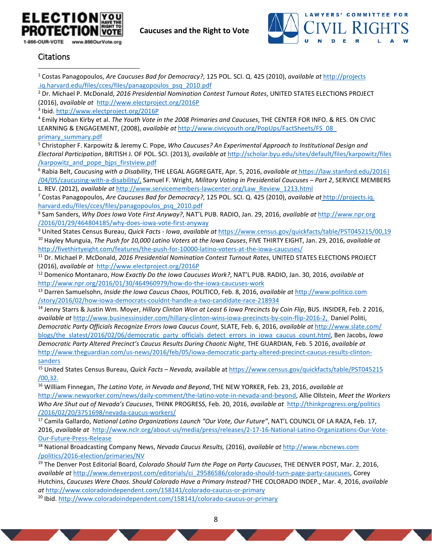



#### <span id="page-7-0"></span>Citations

 $\overline{\phantom{a}}$ 

<span id="page-7-1"></span><sup>1</sup> Costas Panagopoulos, *Are Caucuses Bad for Democracy?*, 125 POL. SCI. Q. 425 (2010), *available at* [http://projects](http://projects.iq.harvard.edu/files/cces/files/panagopoulos_psq_2010.pdf) [.iq.harvard.edu/files/cces/files/panagopoulos\\_psq\\_2010.pdf](http://projects.iq.harvard.edu/files/cces/files/panagopoulos_psq_2010.pdf)

<span id="page-7-2"></span><sup>2</sup> Dr. Michael P. McDonald, *2016 Presidential Nomination Contest Turnout Rates*, UNITED STATES ELECTIONS PROJECT (2016), *available at* <http://www.electproject.org/2016P>

<span id="page-7-3"></span><sup>3</sup> Ibid[. http://www.electproject.org/2016P](http://www.electproject.org/2016P)

<span id="page-7-4"></span><sup>4</sup> Emily Hoban Kirby et al. *The Youth Vote in the 2008 Primaries and Caucuses*, THE CENTER FOR INFO. & RES. ON CIVIC LEARNING & ENGAGEMENT, (2008), *available at* [http://www.civicyouth.org/PopUps/FactSheets/FS\\_08\\_](http://www.politico.com/story/2016/02/how-iowa-democrats-couldnt-handle-a-two-candidate-race-218934) [primary\\_summary.pdf](http://www.politico.com/story/2016/02/how-iowa-democrats-couldnt-handle-a-two-candidate-race-218934)

<span id="page-7-5"></span><sup>5</sup> Christopher F. Karpowitz & Jeremy C. Pope, *Who Caucuses? An Experimental Approach to Institutional Design and Electoral Participation*, BRITISH J. OF POL. SCI. (2013), *available at* [http://scholar.byu.edu/sites/default/files/karpowitz/files](http://scholar.byu.edu/sites/default/files/karpowitz/files/karpowitz_and_pope_bjps_firstview.pdf) /karpowitz\_and\_pope\_bips\_firstview.pdf

<span id="page-7-6"></span><sup>6</sup> Rabia Belt, *Caucusing with a Disability*, THE LEGAL AGGREGATE, Apr. 5, 2016, *available at* [https://law.stanford.edu/2016|](https://law.stanford.edu/2016/04/05/caucusing-with-a-disability/) [/04/05/caucusing-with-a-disability/,](https://law.stanford.edu/2016/04/05/caucusing-with-a-disability/) Samuel F. Wright, *Military Voting in Presidential Caucuses – Part 2*, SERVICE MEMBERS L. REV. (2012), *available at* [http://www.servicemembers-lawcenter.org/Law\\_Review\\_1213.html](http://www.servicemembers-lawcenter.org/Law_Review_1213.html)

<span id="page-7-7"></span><sup>7</sup> Costas Panagopoulos, *Are Caucuses Bad for Democracy?*, 125 POL. SCI. Q. 425 (2010), *available at* [http://projects.iq.](http://projects.iq.harvard.edu/files/cces/files/panagopoulos_psq_2010.pdf) [harvard.edu/files/cces/files/panagopoulos\\_psq\\_2010.pdf](http://projects.iq.harvard.edu/files/cces/files/panagopoulos_psq_2010.pdf)

<span id="page-7-8"></span><sup>8</sup> Sam Sanders, *Why Does Iowa Vote First Anyway?*, NAT'L PUB. RADIO, Jan. 29, 2016, *available at* [http://www.npr.org](http://www.npr.org/2016/01/29/464804185/why-does-iowa-vote-first-anyway) [/2016/01/29/464804185/why-does-iowa-vote-first-anyway](http://www.npr.org/2016/01/29/464804185/why-does-iowa-vote-first-anyway)

<span id="page-7-10"></span><span id="page-7-9"></span><sup>9</sup> United States Census Bureau, *Quick Facts - Iowa*, *available at* <https://www.census.gov/quickfacts/table/PST045215/00,19> <sup>10</sup> Hayley Munguia, *The Push for 10,000 Latino Voters at the Iowa Causes*, FIVE THIRTY EIGHT, Jan. 29, 2016, *available at* <http://fivethirtyeight.com/features/the-push-for-10000-latino-voters-at-the-iowa-caucuses/>

<span id="page-7-11"></span><sup>11</sup> Dr. Michael P. McDonald, *2016 Presidential Nomination Contest Turnout Rates*, UNITED STATES ELECTIONS PROJECT (2016), *available at* <http://www.electproject.org/2016P>

<span id="page-7-12"></span><sup>12</sup> Domenico Montanaro, *How Exactly Do the Iowa Caucuses Work?*, NAT'L PUB. RADIO, Jan. 30, 2016, *available at* <http://www.npr.org/2016/01/30/464960979/how-do-the-iowa-caucuses-work>

<span id="page-7-13"></span><sup>13</sup> Darren Samuelsohn, *Inside the Iowa Caucus Chaos*, POLITICO, Feb. 8, 2016, *available at* [http://www.politico.com](http://www.politico.com/story/2016/02/how-iowa-democrats-couldnt-handle-a-two-candidate-race-218934) [/story/2016/02/how-iowa-democrats-couldnt-handle-a-two-candidate-race-218934](http://www.politico.com/story/2016/02/how-iowa-democrats-couldnt-handle-a-two-candidate-race-218934)

<span id="page-7-14"></span><sup>14</sup> Jenny Starrs & Justin Wm. Moyer, *Hillary Clinton Won at Least 6 Iowa Precincts by Coin Flip*, BUS. INSIDER, Feb. 2 2016, *available at* [http://www.businessinsider.com/hillary-clinton-wins-iowa-precincts-by-coin-flip-2016-2,](http://www.businessinsider.com/hillary-clinton-wins-iowa-precincts-by-coin-flip-2016-2) Daniel Politi, *Democratic Party Officials Recognize Errors Iowa Caucus Count*, SLATE, Feb. 6, 2016, *available at* [http://www.slate.com/](http://www.slate.com/blogs/the_slatest/2016/02/06/democratic_party_officials_detect_errors_in_iowa_caucus_count.html) [blogs/the\\_slatest/2016/02/06/democratic\\_party\\_officials\\_detect\\_errors\\_in\\_iowa\\_caucus\\_count.html,](http://www.slate.com/blogs/the_slatest/2016/02/06/democratic_party_officials_detect_errors_in_iowa_caucus_count.html) Ben Jacobs, *Iowa Democratic Party Altered Precinct's Caucus Results During Chaotic Night*, THE GUARDIAN, Feb. 5 2016, *available at*  [http://www.theguardian.com/us-news/2016/feb/05/iowa-democratic-party-altered-precinct-caucus-results-clinton](http://www.theguardian.com/us-news/2016/feb/05/iowa-democratic-party-altered-precinct-caucus-results-clinton-sanders)[sanders](http://www.theguardian.com/us-news/2016/feb/05/iowa-democratic-party-altered-precinct-caucus-results-clinton-sanders)

<span id="page-7-15"></span><sup>15</sup> United States Census Bureau, *Quick Facts – Nevada,* available at [https://www.census.gov/quickfacts/table/PST045215](https://www.census.gov/quickfacts/table/PST045215/00,32) [/00,32.](https://www.census.gov/quickfacts/table/PST045215/00,32)

<span id="page-7-16"></span><sup>16</sup> William Finnegan, *The Latino Vote, in Nevada and Beyond*, THE NEW YORKER, Feb. 23, 2016, *available at*  [http://www.newyorker.com/news/daily-comment/the-latino-vote-in-nevada-and-beyond,](http://www.newyorker.com/news/daily-comment/the-latino-vote-in-nevada-and-beyond) Allie Ollstein, *Meet the Workers Who Are Shut out of Nevada's Caucuses*, THINK PROGRESS, Feb. 20, 2016, *available at* [http://thinkprogress.org/politics](http://thinkprogress.org/politics/2016/02/20/3751698/nevada-caucus-workers/) [/2016/02/20/3751698/nevada-caucus-workers/](http://thinkprogress.org/politics/2016/02/20/3751698/nevada-caucus-workers/)

<span id="page-7-17"></span><sup>17</sup> Camila Gallardo, *National Latino Organizations Launch "Our Vote, Our Future"*, NAT'L COUNCIL OF LA RAZA, Feb. 17, 2016, *available at* [http://www.nclr.org/about-us/media/press/releases/2-17-16-National-Latino-Organizations-Our-Vote-](http://www.nclr.org/about-us/media/press/releases/2-17-16-National-Latino-Organizations-Our-Vote-Our-Future-Press-Release)[Our-Future-Press-Release](http://www.nclr.org/about-us/media/press/releases/2-17-16-National-Latino-Organizations-Our-Vote-Our-Future-Press-Release)

<span id="page-7-18"></span><sup>18</sup> National Broadcasting Company News, *Nevada Caucus Results,* (2016), *available at* [http://www.nbcnews.com](http://www.nbcnews.com/politics/2016-election/primaries/NV) [/politics/2016-election/primaries/NV](http://www.nbcnews.com/politics/2016-election/primaries/NV)

<span id="page-7-19"></span><sup>19</sup> The Denver Post Editorial Board, *Colorado Should Turn the Page on Party Caucuses*, THE DENVER POST, Mar. 2, 2016, *available at* [http://www.denverpost.com/editorials/ci\\_29586586/colorado-should-turn-page-party-caucuses,](http://www.denverpost.com/editorials/ci_29586586/colorado-should-turn-page-party-caucuses) Corey Hutchins, *Caucuses Were Chaos. Should Colorado Have a Primary Instead?* THE COLORADO INDEP., Mar. 4, 2016, *available at* <http://www.coloradoindependent.com/158141/colorado-caucus-or-primary> 20 Ibid.<http://www.coloradoindependent.com/158141/colorado-caucus-or-primary>

<span id="page-7-20"></span>